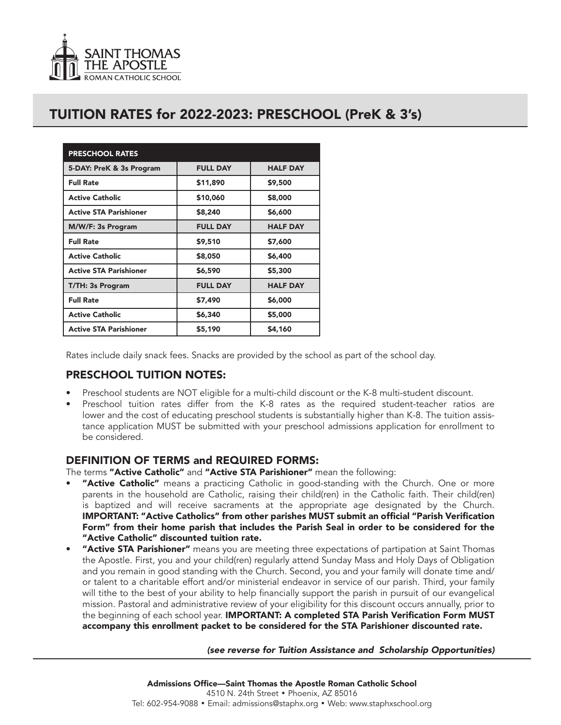

## TUITION RATES for 2022-2023: PRESCHOOL (PreK & 3's)

| <b>PRESCHOOL RATES</b>        |                 |                 |
|-------------------------------|-----------------|-----------------|
| 5-DAY: PreK & 3s Program      | <b>FULL DAY</b> | <b>HALF DAY</b> |
| <b>Full Rate</b>              | \$11,890        | \$9,500         |
| <b>Active Catholic</b>        | \$10,060        | \$8,000         |
| <b>Active STA Parishioner</b> | \$8,240         | \$6,600         |
| M/W/F: 3s Program             | <b>FULL DAY</b> | <b>HALF DAY</b> |
| <b>Full Rate</b>              | \$9,510         | \$7,600         |
| <b>Active Catholic</b>        | \$8,050         | \$6,400         |
| <b>Active STA Parishioner</b> | \$6,590         | \$5,300         |
| T/TH: 3s Program              | <b>FULL DAY</b> | <b>HALF DAY</b> |
| <b>Full Rate</b>              | \$7,490         | \$6,000         |
| <b>Active Catholic</b>        | \$6,340         | \$5,000         |
| <b>Active STA Parishioner</b> | \$5,190         | \$4,160         |

Rates include daily snack fees. Snacks are provided by the school as part of the school day.

## PRESCHOOL TUITION NOTES:

- Preschool students are NOT eligible for a multi-child discount or the K-8 multi-student discount.
- Preschool tuition rates differ from the K-8 rates as the required student-teacher ratios are lower and the cost of educating preschool students is substantially higher than K-8. The tuition assistance application MUST be submitted with your preschool admissions application for enrollment to be considered.

### DEFINITION OF TERMS and REQUIRED FORMS:

The terms "Active Catholic" and "Active STA Parishioner" mean the following:

- "Active Catholic" means a practicing Catholic in good-standing with the Church. One or more parents in the household are Catholic, raising their child(ren) in the Catholic faith. Their child(ren) is baptized and will receive sacraments at the appropriate age designated by the Church. IMPORTANT: "Active Catholics" from other parishes MUST submit an official "Parish Verification Form" from their home parish that includes the Parish Seal in order to be considered for the "Active Catholic" discounted tuition rate.
- "Active STA Parishioner" means you are meeting three expectations of partipation at Saint Thomas the Apostle. First, you and your child(ren) regularly attend Sunday Mass and Holy Days of Obligation and you remain in good standing with the Church. Second, you and your family will donate time and/ or talent to a charitable effort and/or ministerial endeavor in service of our parish. Third, your family will tithe to the best of your ability to help financially support the parish in pursuit of our evangelical mission. Pastoral and administrative review of your eligibility for this discount occurs annually, prior to the beginning of each school year. IMPORTANT: A completed STA Parish Verification Form MUST accompany this enrollment packet to be considered for the STA Parishioner discounted rate.

#### *(see reverse for Tuition Assistance and Scholarship Opportunities)*